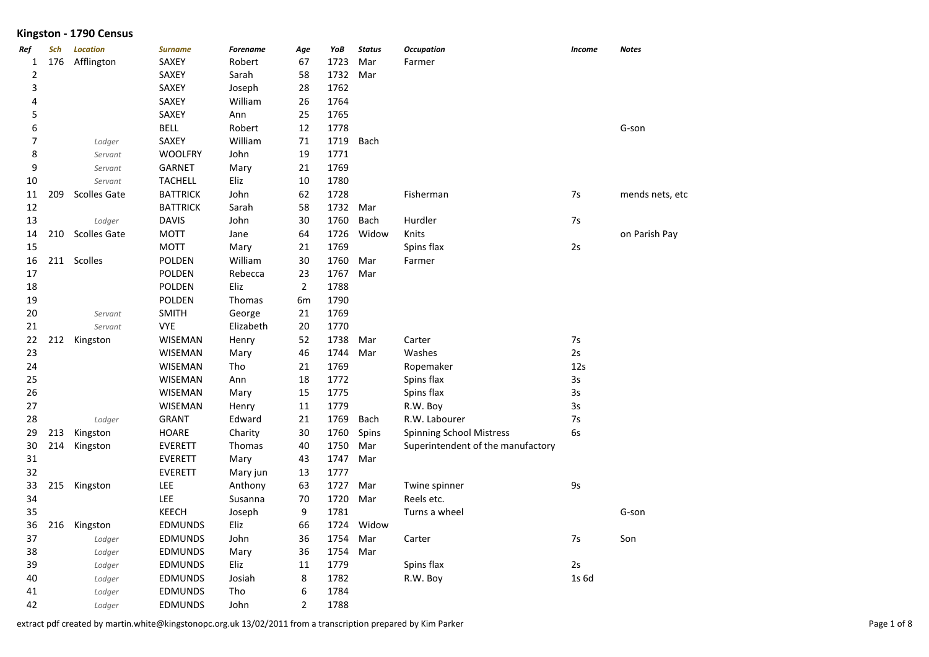| Ref                      | Sch | <b>Location</b>     | <b>Surname</b>  | <b>Forename</b> | Age            | YoB  | <b>Status</b> | <b>Occupation</b>                 | <b>Income</b> | <b>Notes</b>    |
|--------------------------|-----|---------------------|-----------------|-----------------|----------------|------|---------------|-----------------------------------|---------------|-----------------|
| 1                        | 176 | Afflington          | SAXEY           | Robert          | 67             | 1723 | Mar           | Farmer                            |               |                 |
| 2                        |     |                     | SAXEY           | Sarah           | 58             | 1732 | Mar           |                                   |               |                 |
| 3                        |     |                     | SAXEY           | Joseph          | 28             | 1762 |               |                                   |               |                 |
| 4                        |     |                     | SAXEY           | William         | 26             | 1764 |               |                                   |               |                 |
| 5                        |     |                     | SAXEY           | Ann             | 25             | 1765 |               |                                   |               |                 |
| 6                        |     |                     | <b>BELL</b>     | Robert          | 12             | 1778 |               |                                   |               | G-son           |
| $\overline{\phantom{a}}$ |     | Lodger              | SAXEY           | William         | $71\,$         | 1719 | Bach          |                                   |               |                 |
| 8                        |     | Servant             | <b>WOOLFRY</b>  | John            | 19             | 1771 |               |                                   |               |                 |
| 9                        |     | Servant             | <b>GARNET</b>   | Mary            | 21             | 1769 |               |                                   |               |                 |
| 10                       |     | Servant             | <b>TACHELL</b>  | Eliz            | 10             | 1780 |               |                                   |               |                 |
| 11                       | 209 | <b>Scolles Gate</b> | <b>BATTRICK</b> | John            | 62             | 1728 |               | Fisherman                         | 7s            | mends nets, etc |
| 12                       |     |                     | <b>BATTRICK</b> | Sarah           | 58             | 1732 | Mar           |                                   |               |                 |
| 13                       |     | Lodger              | <b>DAVIS</b>    | John            | 30             | 1760 | Bach          | Hurdler                           | 7s            |                 |
| 14                       | 210 | <b>Scolles Gate</b> | <b>MOTT</b>     | Jane            | 64             | 1726 | Widow         | Knits                             |               | on Parish Pay   |
| 15                       |     |                     | <b>MOTT</b>     | Mary            | 21             | 1769 |               | Spins flax                        | 2s            |                 |
| 16                       | 211 | Scolles             | POLDEN          | William         | 30             | 1760 | Mar           | Farmer                            |               |                 |
| 17                       |     |                     | POLDEN          | Rebecca         | 23             | 1767 | Mar           |                                   |               |                 |
| 18                       |     |                     | <b>POLDEN</b>   | Eliz            | $\overline{2}$ | 1788 |               |                                   |               |                 |
| 19                       |     |                     | <b>POLDEN</b>   | Thomas          | 6m             | 1790 |               |                                   |               |                 |
| 20                       |     | Servant             | <b>SMITH</b>    | George          | 21             | 1769 |               |                                   |               |                 |
| 21                       |     | Servant             | <b>VYE</b>      | Elizabeth       | 20             | 1770 |               |                                   |               |                 |
| 22                       | 212 | Kingston            | <b>WISEMAN</b>  | Henry           | 52             | 1738 | Mar           | Carter                            | 7s            |                 |
| 23                       |     |                     | <b>WISEMAN</b>  | Mary            | 46             | 1744 | Mar           | Washes                            | 2s            |                 |
| 24                       |     |                     | <b>WISEMAN</b>  | Tho             | 21             | 1769 |               | Ropemaker                         | 12s           |                 |
| 25                       |     |                     | <b>WISEMAN</b>  | Ann             | 18             | 1772 |               | Spins flax                        | 3s            |                 |
| 26                       |     |                     | <b>WISEMAN</b>  | Mary            | 15             | 1775 |               | Spins flax                        | 3s            |                 |
| 27                       |     |                     | <b>WISEMAN</b>  | Henry           | 11             | 1779 |               | R.W. Boy                          | 3s            |                 |
| 28                       |     | Lodger              | <b>GRANT</b>    | Edward          | 21             | 1769 | Bach          | R.W. Labourer                     | 7s            |                 |
| 29                       | 213 | Kingston            | <b>HOARE</b>    | Charity         | 30             | 1760 | Spins         | Spinning School Mistress          | 6s            |                 |
| 30                       | 214 | Kingston            | <b>EVERETT</b>  | Thomas          | 40             | 1750 | Mar           | Superintendent of the manufactory |               |                 |
| 31                       |     |                     | <b>EVERETT</b>  | Mary            | 43             | 1747 | Mar           |                                   |               |                 |
| 32                       |     |                     | <b>EVERETT</b>  | Mary jun        | 13             | 1777 |               |                                   |               |                 |
| 33                       | 215 | Kingston            | LEE             | Anthony         | 63             | 1727 | Mar           | Twine spinner                     | 9s            |                 |
| 34                       |     |                     | LEE             | Susanna         | 70             | 1720 | Mar           | Reels etc.                        |               |                 |
| 35                       |     |                     | KEECH           | Joseph          | 9              | 1781 |               | Turns a wheel                     |               | G-son           |
| 36                       | 216 | Kingston            | <b>EDMUNDS</b>  | Eliz            | 66             | 1724 | Widow         |                                   |               |                 |
| 37                       |     | Lodger              | <b>EDMUNDS</b>  | John            | 36             | 1754 | Mar           | Carter                            | 7s            | Son             |
| 38                       |     | Lodger              | <b>EDMUNDS</b>  | Mary            | 36             | 1754 | Mar           |                                   |               |                 |
| 39                       |     | Lodger              | <b>EDMUNDS</b>  | Eliz            | 11             | 1779 |               | Spins flax                        | 2s            |                 |
| 40                       |     | Lodger              | <b>EDMUNDS</b>  | Josiah          | 8              | 1782 |               | R.W. Boy                          | 1s 6d         |                 |
| 41                       |     | Lodger              | <b>EDMUNDS</b>  | Tho             | 6              | 1784 |               |                                   |               |                 |
| 42                       |     | Lodger              | <b>EDMUNDS</b>  | John            | $\overline{2}$ | 1788 |               |                                   |               |                 |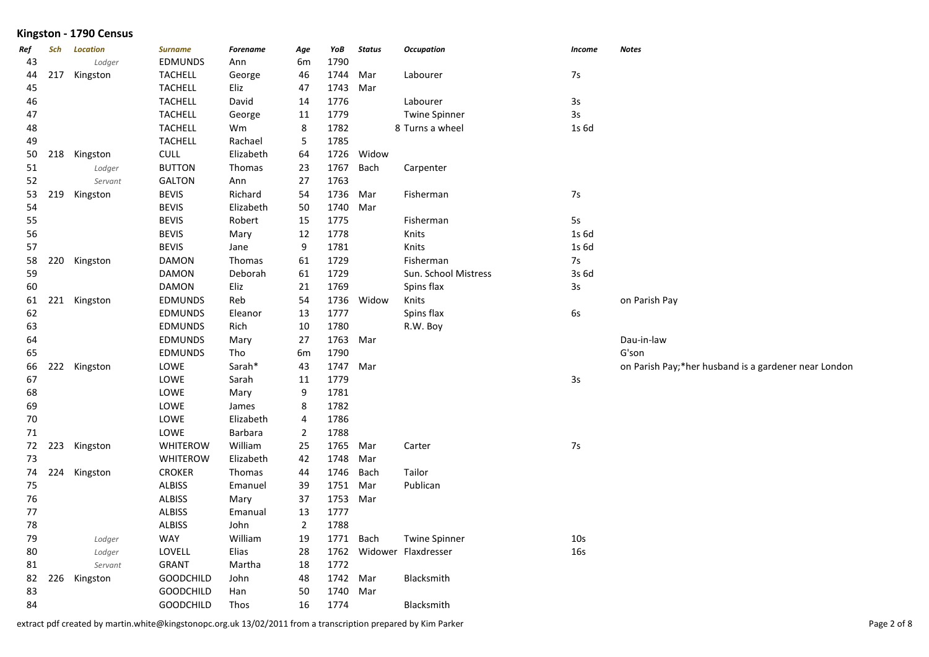| Ref<br>43 | Sch | <b>Location</b><br>Lodger | <b>Surname</b><br><b>EDMUNDS</b> | <b>Forename</b><br>Ann | Age<br>6m      | YoB<br>1790 | <b>Status</b> | <b>Occupation</b>        | Income          | <b>Notes</b>                                         |
|-----------|-----|---------------------------|----------------------------------|------------------------|----------------|-------------|---------------|--------------------------|-----------------|------------------------------------------------------|
| 44        | 217 | Kingston                  | <b>TACHELL</b>                   | George                 | 46             | 1744        | Mar           | Labourer                 | 7s              |                                                      |
| 45        |     |                           | <b>TACHELL</b>                   | Eliz                   | 47             | 1743 Mar    |               |                          |                 |                                                      |
| 46        |     |                           | <b>TACHELL</b>                   | David                  | 14             | 1776        |               | Labourer                 | 3s              |                                                      |
| 47        |     |                           | <b>TACHELL</b>                   | George                 | 11             | 1779        |               | <b>Twine Spinner</b>     | 3s              |                                                      |
| 48        |     |                           | <b>TACHELL</b>                   | Wm                     | 8              | 1782        |               | 8 Turns a wheel          | 1s 6d           |                                                      |
| 49        |     |                           | <b>TACHELL</b>                   | Rachael                | 5              | 1785        |               |                          |                 |                                                      |
| 50        | 218 | Kingston                  | <b>CULL</b>                      | Elizabeth              | 64             | 1726        | Widow         |                          |                 |                                                      |
| 51        |     | Lodger                    | <b>BUTTON</b>                    | Thomas                 | 23             | 1767        | Bach          | Carpenter                |                 |                                                      |
| 52        |     | Servant                   | <b>GALTON</b>                    | Ann                    | 27             | 1763        |               |                          |                 |                                                      |
| 53        | 219 | Kingston                  | <b>BEVIS</b>                     | Richard                | 54             | 1736        | Mar           | Fisherman                | 7s              |                                                      |
| 54        |     |                           | <b>BEVIS</b>                     | Elizabeth              | 50             | 1740        | Mar           |                          |                 |                                                      |
| 55        |     |                           | <b>BEVIS</b>                     | Robert                 | 15             | 1775        |               | Fisherman                | 5s              |                                                      |
| 56        |     |                           | <b>BEVIS</b>                     | Mary                   | 12             | 1778        |               | Knits                    | 1s 6d           |                                                      |
| 57        |     |                           | <b>BEVIS</b>                     | Jane                   | 9              | 1781        |               | Knits                    | 1s 6d           |                                                      |
| 58        | 220 | Kingston                  | <b>DAMON</b>                     | Thomas                 | 61             | 1729        |               | Fisherman                | $7s$            |                                                      |
| 59        |     |                           | <b>DAMON</b>                     | Deborah                | 61             | 1729        |               | Sun. School Mistress     | 3s 6d           |                                                      |
| 60        |     |                           | <b>DAMON</b>                     | Eliz                   | 21             | 1769        |               | Spins flax               | 3s              |                                                      |
| 61        |     | 221 Kingston              | <b>EDMUNDS</b>                   | Reb                    | 54             |             | 1736 Widow    | Knits                    |                 | on Parish Pay                                        |
| 62        |     |                           | <b>EDMUNDS</b>                   | Eleanor                | 13             | 1777        |               | Spins flax               | 6s              |                                                      |
| 63        |     |                           | <b>EDMUNDS</b>                   | Rich                   | 10             | 1780        |               | R.W. Boy                 |                 |                                                      |
| 64        |     |                           | EDMUNDS                          | Mary                   | 27             | 1763 Mar    |               |                          |                 | Dau-in-law                                           |
| 65        |     |                           | <b>EDMUNDS</b>                   | Tho                    | 6m             | 1790        |               |                          |                 | G'son                                                |
| 66        | 222 | Kingston                  | LOWE                             | Sarah*                 | 43             | 1747 Mar    |               |                          |                 | on Parish Pay;*her husband is a gardener near London |
| 67        |     |                           | LOWE                             | Sarah                  | 11             | 1779        |               |                          | $3s$            |                                                      |
| 68        |     |                           | LOWE                             | Mary                   | 9              | 1781        |               |                          |                 |                                                      |
| 69        |     |                           | LOWE                             | James                  | 8              | 1782        |               |                          |                 |                                                      |
| 70        |     |                           | LOWE                             | Elizabeth              | 4              | 1786        |               |                          |                 |                                                      |
| 71        |     |                           | LOWE                             | Barbara                | $\overline{2}$ | 1788        |               |                          |                 |                                                      |
| 72        | 223 | Kingston                  | <b>WHITEROW</b>                  | William                | 25             | 1765 Mar    |               | Carter                   | 7s              |                                                      |
| 73        |     |                           | <b>WHITEROW</b>                  | Elizabeth              | 42             | 1748        | Mar           |                          |                 |                                                      |
| 74        | 224 | Kingston                  | <b>CROKER</b>                    | Thomas                 | 44             | 1746        | Bach          | Tailor                   |                 |                                                      |
| 75        |     |                           | <b>ALBISS</b>                    | Emanuel                | 39             | 1751        | Mar           | Publican                 |                 |                                                      |
| 76        |     |                           | <b>ALBISS</b>                    | Mary                   | 37             | 1753 Mar    |               |                          |                 |                                                      |
| 77        |     |                           | <b>ALBISS</b>                    | Emanual                | 13             | 1777        |               |                          |                 |                                                      |
| 78        |     |                           | <b>ALBISS</b>                    | John                   | $\overline{2}$ | 1788        |               |                          |                 |                                                      |
| 79        |     | Lodger                    | <b>WAY</b>                       | William                | 19             |             | 1771 Bach     | <b>Twine Spinner</b>     | 10 <sub>s</sub> |                                                      |
| 80        |     | Lodger                    | LOVELL                           | Elias                  | 28             |             |               | 1762 Widower Flaxdresser | <b>16s</b>      |                                                      |
| 81        |     | Servant                   | <b>GRANT</b>                     | Martha                 | 18             | 1772        |               |                          |                 |                                                      |
| 82        | 226 | Kingston                  | <b>GOODCHILD</b>                 | John                   | 48             | 1742 Mar    |               | Blacksmith               |                 |                                                      |
| 83        |     |                           | <b>GOODCHILD</b>                 | Han                    | 50             | 1740        | Mar           |                          |                 |                                                      |
| 84        |     |                           | GOODCHILD                        | Thos                   | 16             | 1774        |               | Blacksmith               |                 |                                                      |

extract pdf created by martin.white@kingstonopc.org.uk 13/02/2011 from a transcription prepared by Kim Parker Page 2 of 8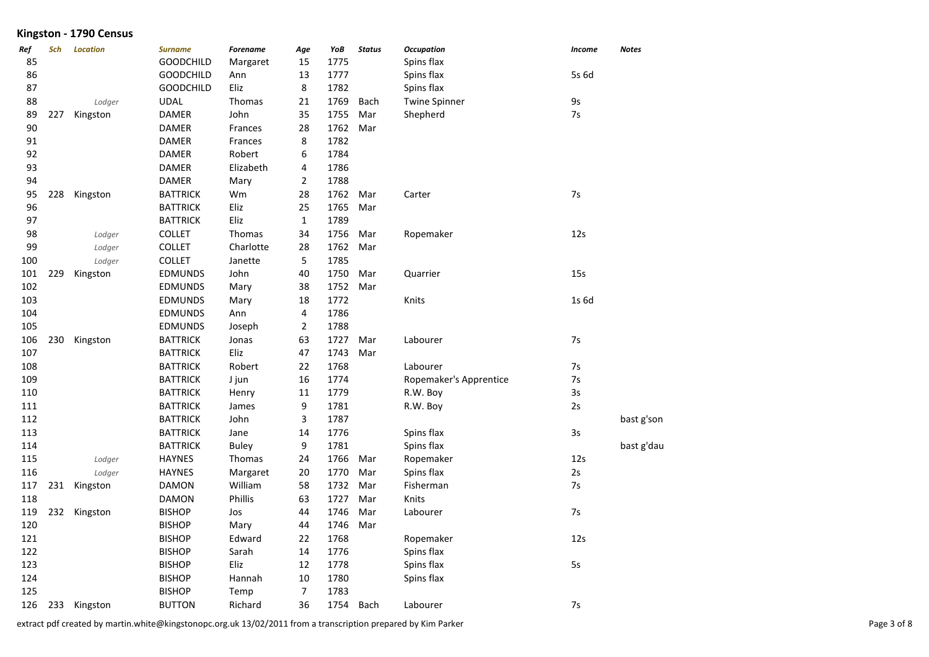| Ref | Sch | <b>Location</b> | <b>Surname</b>   | <b>Forename</b> | Age            | YoB  | <b>Status</b> | <b>Occupation</b>      | <b>Income</b> | Notes      |
|-----|-----|-----------------|------------------|-----------------|----------------|------|---------------|------------------------|---------------|------------|
| 85  |     |                 | <b>GOODCHILD</b> | Margaret        | 15             | 1775 |               | Spins flax             |               |            |
| 86  |     |                 | <b>GOODCHILD</b> | Ann             | 13             | 1777 |               | Spins flax             | 5s 6d         |            |
| 87  |     |                 | <b>GOODCHILD</b> | Eliz            | 8              | 1782 |               | Spins flax             |               |            |
| 88  |     | Lodger          | <b>UDAL</b>      | Thomas          | 21             | 1769 | Bach          | <b>Twine Spinner</b>   | 9s            |            |
| 89  | 227 | Kingston        | <b>DAMER</b>     | John            | 35             | 1755 | Mar           | Shepherd               | 7s            |            |
| 90  |     |                 | <b>DAMER</b>     | Frances         | 28             | 1762 | Mar           |                        |               |            |
| 91  |     |                 | <b>DAMER</b>     | Frances         | 8              | 1782 |               |                        |               |            |
| 92  |     |                 | <b>DAMER</b>     | Robert          | 6              | 1784 |               |                        |               |            |
| 93  |     |                 | <b>DAMER</b>     | Elizabeth       | 4              | 1786 |               |                        |               |            |
| 94  |     |                 | <b>DAMER</b>     | Mary            | $\overline{2}$ | 1788 |               |                        |               |            |
| 95  | 228 | Kingston        | <b>BATTRICK</b>  | Wm              | 28             | 1762 | Mar           | Carter                 | 7s            |            |
| 96  |     |                 | <b>BATTRICK</b>  | Eliz            | 25             | 1765 | Mar           |                        |               |            |
| 97  |     |                 | <b>BATTRICK</b>  | Eliz            | $\mathbf{1}$   | 1789 |               |                        |               |            |
| 98  |     | Lodger          | <b>COLLET</b>    | Thomas          | 34             | 1756 | Mar           | Ropemaker              | 12s           |            |
| 99  |     | Lodger          | <b>COLLET</b>    | Charlotte       | 28             | 1762 | Mar           |                        |               |            |
| 100 |     | Lodger          | <b>COLLET</b>    | Janette         | 5              | 1785 |               |                        |               |            |
| 101 | 229 | Kingston        | EDMUNDS          | John            | 40             | 1750 | Mar           | Quarrier               | 15s           |            |
| 102 |     |                 | <b>EDMUNDS</b>   | Mary            | 38             | 1752 | Mar           |                        |               |            |
| 103 |     |                 | <b>EDMUNDS</b>   | Mary            | 18             | 1772 |               | Knits                  | 1s 6d         |            |
| 104 |     |                 | <b>EDMUNDS</b>   | Ann             | 4              | 1786 |               |                        |               |            |
| 105 |     |                 | <b>EDMUNDS</b>   | Joseph          | $\overline{2}$ | 1788 |               |                        |               |            |
| 106 | 230 | Kingston        | <b>BATTRICK</b>  | Jonas           | 63             | 1727 | Mar           | Labourer               | 7s            |            |
| 107 |     |                 | <b>BATTRICK</b>  | Eliz            | 47             | 1743 | Mar           |                        |               |            |
| 108 |     |                 | <b>BATTRICK</b>  | Robert          | 22             | 1768 |               | Labourer               | 7s            |            |
| 109 |     |                 | <b>BATTRICK</b>  | J jun           | 16             | 1774 |               | Ropemaker's Apprentice | 7s            |            |
| 110 |     |                 | <b>BATTRICK</b>  | Henry           | 11             | 1779 |               | R.W. Boy               | 3s            |            |
| 111 |     |                 | <b>BATTRICK</b>  | James           | 9              | 1781 |               | R.W. Boy               | 2s            |            |
| 112 |     |                 | <b>BATTRICK</b>  | John            | 3              | 1787 |               |                        |               | bast g'son |
| 113 |     |                 | <b>BATTRICK</b>  | Jane            | 14             | 1776 |               | Spins flax             | 3s            |            |
| 114 |     |                 | <b>BATTRICK</b>  | <b>Buley</b>    | 9              | 1781 |               | Spins flax             |               | bast g'dau |
| 115 |     | Lodger          | <b>HAYNES</b>    | Thomas          | 24             | 1766 | Mar           | Ropemaker              | 12s           |            |
| 116 |     | Lodger          | <b>HAYNES</b>    | Margaret        | 20             | 1770 | Mar           | Spins flax             | 2s            |            |
| 117 | 231 | Kingston        | <b>DAMON</b>     | William         | 58             | 1732 | Mar           | Fisherman              | 7s            |            |
| 118 |     |                 | <b>DAMON</b>     | Phillis         | 63             | 1727 | Mar           | Knits                  |               |            |
| 119 | 232 | Kingston        | <b>BISHOP</b>    | Jos             | 44             | 1746 | Mar           | Labourer               | 7s            |            |
| 120 |     |                 | <b>BISHOP</b>    | Mary            | 44             | 1746 | Mar           |                        |               |            |
| 121 |     |                 | <b>BISHOP</b>    | Edward          | 22             | 1768 |               | Ropemaker              | 12s           |            |
| 122 |     |                 | <b>BISHOP</b>    | Sarah           | 14             | 1776 |               | Spins flax             |               |            |
| 123 |     |                 | <b>BISHOP</b>    | Eliz            | 12             | 1778 |               | Spins flax             | 5s            |            |
| 124 |     |                 | <b>BISHOP</b>    | Hannah          | 10             | 1780 |               | Spins flax             |               |            |
| 125 |     |                 | <b>BISHOP</b>    | Temp            | $\overline{7}$ | 1783 |               |                        |               |            |
| 126 | 233 | Kingston        | <b>BUTTON</b>    | Richard         | 36             | 1754 | Bach          | Labourer               | 7s            |            |

extract pdf created by martin.white@kingstonopc.org.uk 13/02/2011 from a transcription prepared by Kim Parker Page 3 of 8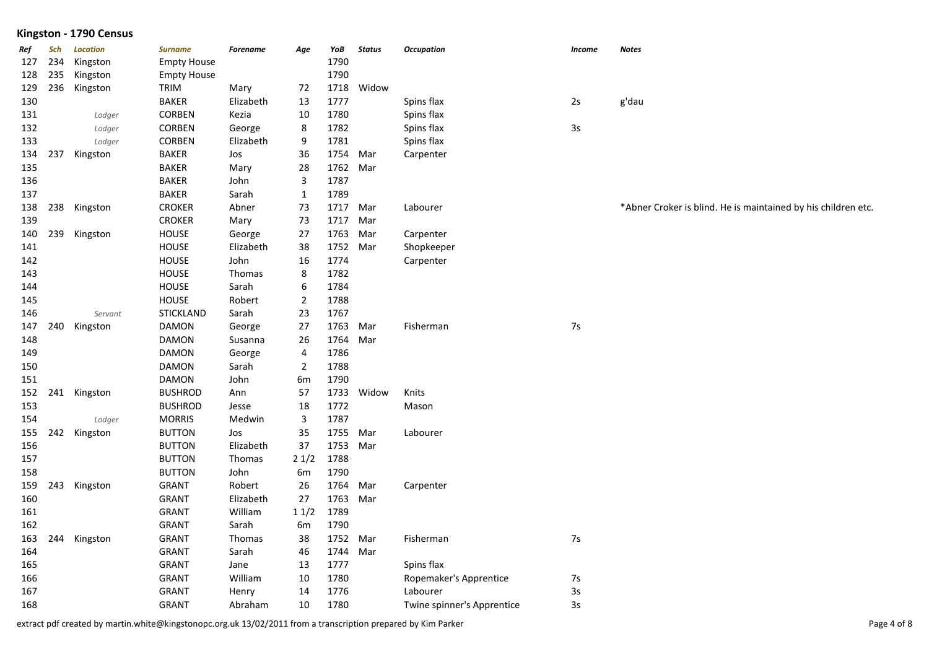| Ref | Sch | <b>Location</b> | <b>Surname</b>     | <b>Forename</b> | Age                     | YoB      | <b>Status</b> | <b>Occupation</b>          | <b>Income</b> | <b>Notes</b>                                                  |
|-----|-----|-----------------|--------------------|-----------------|-------------------------|----------|---------------|----------------------------|---------------|---------------------------------------------------------------|
| 127 | 234 | Kingston        | <b>Empty House</b> |                 |                         | 1790     |               |                            |               |                                                               |
| 128 | 235 | Kingston        | <b>Empty House</b> |                 |                         | 1790     |               |                            |               |                                                               |
| 129 | 236 | Kingston        | TRIM               | Mary            | 72                      | 1718     | Widow         |                            |               |                                                               |
| 130 |     |                 | <b>BAKER</b>       | Elizabeth       | 13                      | 1777     |               | Spins flax                 | 2s            | g'dau                                                         |
| 131 |     | Lodger          | CORBEN             | Kezia           | 10                      | 1780     |               | Spins flax                 |               |                                                               |
| 132 |     | Lodger          | <b>CORBEN</b>      | George          | 8                       | 1782     |               | Spins flax                 | $3s$          |                                                               |
| 133 |     | Lodger          | CORBEN             | Elizabeth       | 9                       | 1781     |               | Spins flax                 |               |                                                               |
| 134 | 237 | Kingston        | <b>BAKER</b>       | Jos             | 36                      | 1754     | Mar           | Carpenter                  |               |                                                               |
| 135 |     |                 | <b>BAKER</b>       | Mary            | 28                      | 1762 Mar |               |                            |               |                                                               |
| 136 |     |                 | <b>BAKER</b>       | John            | 3                       | 1787     |               |                            |               |                                                               |
| 137 |     |                 | <b>BAKER</b>       | Sarah           | $\mathbf{1}$            | 1789     |               |                            |               |                                                               |
| 138 | 238 | Kingston        | <b>CROKER</b>      | Abner           | 73                      | 1717     | Mar           | Labourer                   |               | *Abner Croker is blind. He is maintained by his children etc. |
| 139 |     |                 | <b>CROKER</b>      | Mary            | 73                      | 1717 Mar |               |                            |               |                                                               |
| 140 |     | 239 Kingston    | <b>HOUSE</b>       | George          | 27                      | 1763     | Mar           | Carpenter                  |               |                                                               |
| 141 |     |                 | <b>HOUSE</b>       | Elizabeth       | 38                      | 1752 Mar |               | Shopkeeper                 |               |                                                               |
| 142 |     |                 | <b>HOUSE</b>       | John            | 16                      | 1774     |               | Carpenter                  |               |                                                               |
| 143 |     |                 | <b>HOUSE</b>       | Thomas          | 8                       | 1782     |               |                            |               |                                                               |
| 144 |     |                 | <b>HOUSE</b>       | Sarah           | 6                       | 1784     |               |                            |               |                                                               |
| 145 |     |                 | <b>HOUSE</b>       | Robert          | $\overline{2}$          | 1788     |               |                            |               |                                                               |
| 146 |     | Servant         | <b>STICKLAND</b>   | Sarah           | 23                      | 1767     |               |                            |               |                                                               |
| 147 | 240 | Kingston        | <b>DAMON</b>       | George          | 27                      | 1763     | Mar           | Fisherman                  | $7s$          |                                                               |
| 148 |     |                 | DAMON              | Susanna         | 26                      | 1764 Mar |               |                            |               |                                                               |
| 149 |     |                 | DAMON              | George          | $\overline{\mathbf{4}}$ | 1786     |               |                            |               |                                                               |
| 150 |     |                 | <b>DAMON</b>       | Sarah           | $\overline{2}$          | 1788     |               |                            |               |                                                               |
| 151 |     |                 | <b>DAMON</b>       | John            | 6 <sub>m</sub>          | 1790     |               |                            |               |                                                               |
| 152 |     | 241 Kingston    | <b>BUSHROD</b>     | Ann             | 57                      | 1733     | Widow         | Knits                      |               |                                                               |
| 153 |     |                 | <b>BUSHROD</b>     | Jesse           | 18                      | 1772     |               | Mason                      |               |                                                               |
| 154 |     | Lodger          | <b>MORRIS</b>      | Medwin          | 3                       | 1787     |               |                            |               |                                                               |
| 155 |     | 242 Kingston    | <b>BUTTON</b>      | Jos             | 35                      | 1755     | Mar           | Labourer                   |               |                                                               |
| 156 |     |                 | <b>BUTTON</b>      | Elizabeth       | 37                      | 1753 Mar |               |                            |               |                                                               |
| 157 |     |                 | <b>BUTTON</b>      | Thomas          | 21/2                    | 1788     |               |                            |               |                                                               |
| 158 |     |                 | <b>BUTTON</b>      | John            | 6m                      | 1790     |               |                            |               |                                                               |
| 159 |     | 243 Kingston    | GRANT              | Robert          | 26                      | 1764     | Mar           | Carpenter                  |               |                                                               |
| 160 |     |                 | GRANT              | Elizabeth       | 27                      | 1763 Mar |               |                            |               |                                                               |
| 161 |     |                 | <b>GRANT</b>       | William         | 11/2                    | 1789     |               |                            |               |                                                               |
| 162 |     |                 | <b>GRANT</b>       | Sarah           | 6m                      | 1790     |               |                            |               |                                                               |
| 163 | 244 | Kingston        | <b>GRANT</b>       | Thomas          | 38                      | 1752 Mar |               | Fisherman                  | $7s$          |                                                               |
| 164 |     |                 | GRANT              | Sarah           | 46                      | 1744 Mar |               |                            |               |                                                               |
| 165 |     |                 | <b>GRANT</b>       | Jane            | 13                      | 1777     |               | Spins flax                 |               |                                                               |
| 166 |     |                 | <b>GRANT</b>       | William         | 10                      | 1780     |               | Ropemaker's Apprentice     | $7s$          |                                                               |
| 167 |     |                 | <b>GRANT</b>       | Henry           | 14                      | 1776     |               | Labourer                   | $3s$          |                                                               |
| 168 |     |                 | <b>GRANT</b>       | Abraham         | 10                      | 1780     |               | Twine spinner's Apprentice | 3s            |                                                               |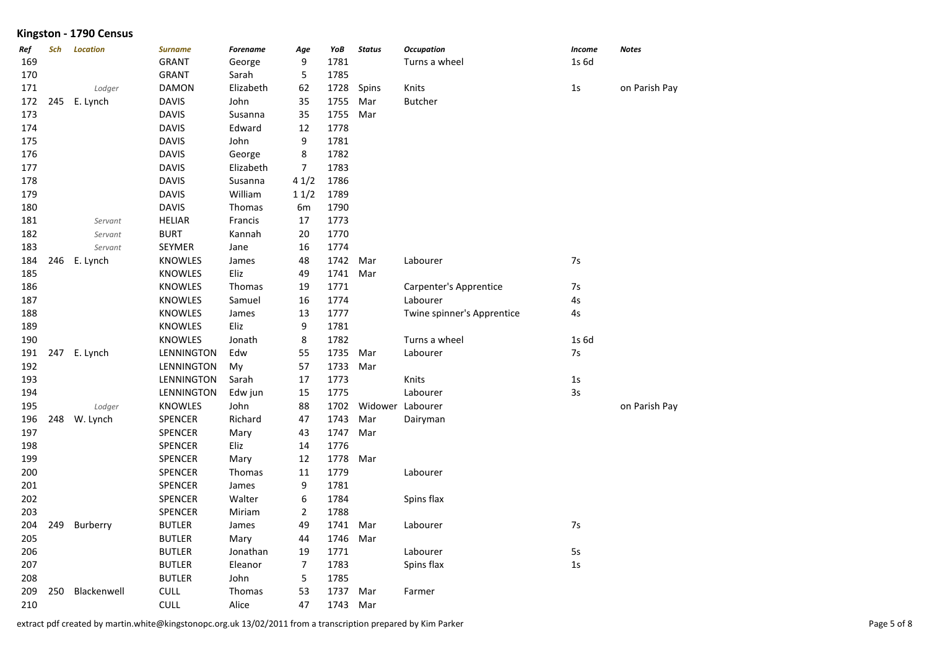| Ref | Sch | <b>Location</b> | <b>Surname</b> | <b>Forename</b> | Age            | YoB  | <b>Status</b> | <b>Occupation</b>          | Income | Notes         |
|-----|-----|-----------------|----------------|-----------------|----------------|------|---------------|----------------------------|--------|---------------|
| 169 |     |                 | <b>GRANT</b>   | George          | 9              | 1781 |               | Turns a wheel              | 1s 6d  |               |
| 170 |     |                 | <b>GRANT</b>   | Sarah           | 5              | 1785 |               |                            |        |               |
| 171 |     | Lodger          | <b>DAMON</b>   | Elizabeth       | 62             | 1728 | Spins         | Knits                      | 1s     | on Parish Pay |
| 172 | 245 | E. Lynch        | <b>DAVIS</b>   | John            | 35             | 1755 | Mar           | <b>Butcher</b>             |        |               |
| 173 |     |                 | <b>DAVIS</b>   | Susanna         | 35             | 1755 | Mar           |                            |        |               |
| 174 |     |                 | <b>DAVIS</b>   | Edward          | 12             | 1778 |               |                            |        |               |
| 175 |     |                 | <b>DAVIS</b>   | John            | 9              | 1781 |               |                            |        |               |
| 176 |     |                 | <b>DAVIS</b>   | George          | 8              | 1782 |               |                            |        |               |
| 177 |     |                 | <b>DAVIS</b>   | Elizabeth       | $\overline{7}$ | 1783 |               |                            |        |               |
| 178 |     |                 | <b>DAVIS</b>   | Susanna         | 41/2           | 1786 |               |                            |        |               |
| 179 |     |                 | <b>DAVIS</b>   | William         | 11/2           | 1789 |               |                            |        |               |
| 180 |     |                 | <b>DAVIS</b>   | Thomas          | 6m             | 1790 |               |                            |        |               |
| 181 |     | Servant         | <b>HELIAR</b>  | Francis         | 17             | 1773 |               |                            |        |               |
| 182 |     | Servant         | <b>BURT</b>    | Kannah          | $20\,$         | 1770 |               |                            |        |               |
| 183 |     | Servant         | SEYMER         | Jane            | 16             | 1774 |               |                            |        |               |
| 184 | 246 | E. Lynch        | <b>KNOWLES</b> | James           | 48             | 1742 | Mar           | Labourer                   | 7s     |               |
| 185 |     |                 | <b>KNOWLES</b> | Eliz            | 49             | 1741 | Mar           |                            |        |               |
| 186 |     |                 | KNOWLES        | Thomas          | 19             | 1771 |               | Carpenter's Apprentice     | 7s     |               |
| 187 |     |                 | <b>KNOWLES</b> | Samuel          | 16             | 1774 |               | Labourer                   | 4s     |               |
| 188 |     |                 | <b>KNOWLES</b> | James           | 13             | 1777 |               | Twine spinner's Apprentice | 4s     |               |
| 189 |     |                 | <b>KNOWLES</b> | Eliz            | 9              | 1781 |               |                            |        |               |
| 190 |     |                 | <b>KNOWLES</b> | Jonath          | 8              | 1782 |               | Turns a wheel              | 1s 6d  |               |
| 191 |     | 247 E. Lynch    | LENNINGTON     | Edw             | 55             | 1735 | Mar           | Labourer                   | 7s     |               |
| 192 |     |                 | LENNINGTON     | My              | 57             | 1733 | Mar           |                            |        |               |
| 193 |     |                 | LENNINGTON     | Sarah           | 17             | 1773 |               | Knits                      | $1s$   |               |
| 194 |     |                 | LENNINGTON     | Edw jun         | 15             | 1775 |               | Labourer                   | 3s     |               |
| 195 |     | Lodger          | <b>KNOWLES</b> | John            | 88             | 1702 |               | Widower Labourer           |        | on Parish Pay |
| 196 | 248 | W. Lynch        | SPENCER        | Richard         | 47             | 1743 | Mar           | Dairyman                   |        |               |
| 197 |     |                 | <b>SPENCER</b> | Mary            | 43             | 1747 | Mar           |                            |        |               |
| 198 |     |                 | SPENCER        | Eliz            | 14             | 1776 |               |                            |        |               |
| 199 |     |                 | <b>SPENCER</b> | Mary            | 12             | 1778 | Mar           |                            |        |               |
| 200 |     |                 | <b>SPENCER</b> | Thomas          | $11\,$         | 1779 |               | Labourer                   |        |               |
| 201 |     |                 | <b>SPENCER</b> | James           | 9              | 1781 |               |                            |        |               |
| 202 |     |                 | SPENCER        | Walter          | 6              | 1784 |               | Spins flax                 |        |               |
| 203 |     |                 | SPENCER        | Miriam          | $\overline{a}$ | 1788 |               |                            |        |               |
| 204 | 249 | Burberry        | <b>BUTLER</b>  | James           | 49             | 1741 | Mar           | Labourer                   | 7s     |               |
| 205 |     |                 | <b>BUTLER</b>  | Mary            | 44             | 1746 | Mar           |                            |        |               |
| 206 |     |                 | <b>BUTLER</b>  | Jonathan        | 19             | 1771 |               | Labourer                   | 5s     |               |
| 207 |     |                 | <b>BUTLER</b>  | Eleanor         | $\overline{7}$ | 1783 |               | Spins flax                 | $1s$   |               |
| 208 |     |                 | <b>BUTLER</b>  | John            | 5              | 1785 |               |                            |        |               |
| 209 | 250 | Blackenwell     | <b>CULL</b>    | Thomas          | 53             | 1737 | Mar           | Farmer                     |        |               |
| 210 |     |                 | <b>CULL</b>    | Alice           | 47             | 1743 | Mar           |                            |        |               |

extract pdf created by martin.white@kingstonopc.org.uk 13/02/2011 from a transcription prepared by Kim Parker Page 5 of 8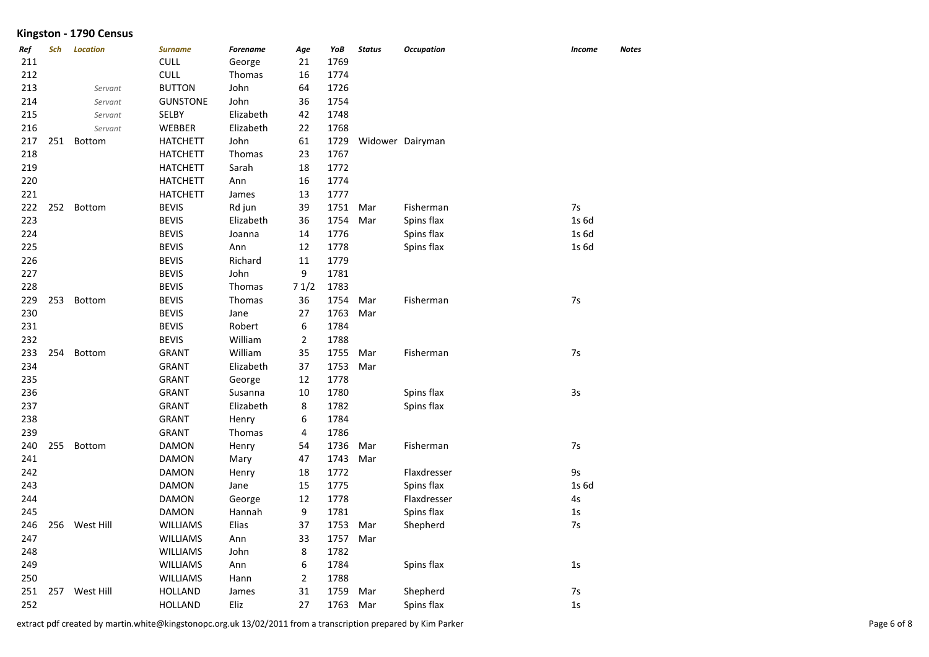| Ref | Sch | <b>Location</b> | <b>Surname</b>  | <b>Forename</b> | Age            | YoB  | <b>Status</b> | <b>Occupation</b> | <b>Income</b>  | <b>Notes</b> |
|-----|-----|-----------------|-----------------|-----------------|----------------|------|---------------|-------------------|----------------|--------------|
| 211 |     |                 | <b>CULL</b>     | George          | 21             | 1769 |               |                   |                |              |
| 212 |     |                 | <b>CULL</b>     | Thomas          | 16             | 1774 |               |                   |                |              |
| 213 |     | Servant         | <b>BUTTON</b>   | John            | 64             | 1726 |               |                   |                |              |
| 214 |     | Servant         | <b>GUNSTONE</b> | John            | 36             | 1754 |               |                   |                |              |
| 215 |     | Servant         | <b>SELBY</b>    | Elizabeth       | 42             | 1748 |               |                   |                |              |
| 216 |     | Servant         | WEBBER          | Elizabeth       | 22             | 1768 |               |                   |                |              |
| 217 | 251 | Bottom          | <b>HATCHETT</b> | John            | 61             | 1729 |               | Widower Dairyman  |                |              |
| 218 |     |                 | <b>HATCHETT</b> | <b>Thomas</b>   | 23             | 1767 |               |                   |                |              |
| 219 |     |                 | <b>HATCHETT</b> | Sarah           | 18             | 1772 |               |                   |                |              |
| 220 |     |                 | <b>HATCHETT</b> | Ann             | 16             | 1774 |               |                   |                |              |
| 221 |     |                 | <b>HATCHETT</b> | James           | 13             | 1777 |               |                   |                |              |
| 222 | 252 | <b>Bottom</b>   | <b>BEVIS</b>    | Rd jun          | 39             | 1751 | Mar           | Fisherman         | 7s             |              |
| 223 |     |                 | <b>BEVIS</b>    | Elizabeth       | 36             | 1754 | Mar           | Spins flax        | 1s 6d          |              |
| 224 |     |                 | <b>BEVIS</b>    | Joanna          | 14             | 1776 |               | Spins flax        | 1s 6d          |              |
| 225 |     |                 | <b>BEVIS</b>    | Ann             | 12             | 1778 |               | Spins flax        | 1s 6d          |              |
| 226 |     |                 | <b>BEVIS</b>    | Richard         | $11\,$         | 1779 |               |                   |                |              |
| 227 |     |                 | <b>BEVIS</b>    | John            | 9              | 1781 |               |                   |                |              |
| 228 |     |                 | <b>BEVIS</b>    | Thomas          | 71/2           | 1783 |               |                   |                |              |
| 229 | 253 | Bottom          | <b>BEVIS</b>    | Thomas          | 36             | 1754 | Mar           | Fisherman         | 7s             |              |
| 230 |     |                 | <b>BEVIS</b>    | Jane            | 27             | 1763 | Mar           |                   |                |              |
| 231 |     |                 | <b>BEVIS</b>    | Robert          | 6              | 1784 |               |                   |                |              |
| 232 |     |                 | <b>BEVIS</b>    | William         | $\overline{2}$ | 1788 |               |                   |                |              |
| 233 | 254 | Bottom          | <b>GRANT</b>    | William         | 35             | 1755 | Mar           | Fisherman         | 7s             |              |
| 234 |     |                 | <b>GRANT</b>    | Elizabeth       | 37             | 1753 | Mar           |                   |                |              |
| 235 |     |                 | <b>GRANT</b>    | George          | 12             | 1778 |               |                   |                |              |
| 236 |     |                 | <b>GRANT</b>    | Susanna         | 10             | 1780 |               | Spins flax        | 3s             |              |
| 237 |     |                 | <b>GRANT</b>    | Elizabeth       | 8              | 1782 |               | Spins flax        |                |              |
| 238 |     |                 | <b>GRANT</b>    | Henry           | 6              | 1784 |               |                   |                |              |
| 239 |     |                 | <b>GRANT</b>    | <b>Thomas</b>   | 4              | 1786 |               |                   |                |              |
| 240 | 255 | Bottom          | <b>DAMON</b>    | Henry           | 54             | 1736 | Mar           | Fisherman         | 7s             |              |
| 241 |     |                 | <b>DAMON</b>    | Mary            | 47             | 1743 | Mar           |                   |                |              |
| 242 |     |                 | <b>DAMON</b>    | Henry           | 18             | 1772 |               | Flaxdresser       | 9s             |              |
| 243 |     |                 | <b>DAMON</b>    | Jane            | 15             | 1775 |               | Spins flax        | 1s 6d          |              |
| 244 |     |                 | <b>DAMON</b>    | George          | 12             | 1778 |               | Flaxdresser       | 4s             |              |
| 245 |     |                 | <b>DAMON</b>    | Hannah          | 9              | 1781 |               | Spins flax        | 1s             |              |
| 246 | 256 | West Hill       | <b>WILLIAMS</b> | Elias           | 37             | 1753 | Mar           | Shepherd          | 7s             |              |
| 247 |     |                 | <b>WILLIAMS</b> | Ann             | 33             | 1757 | Mar           |                   |                |              |
| 248 |     |                 | <b>WILLIAMS</b> | John            | 8              | 1782 |               |                   |                |              |
| 249 |     |                 | <b>WILLIAMS</b> | Ann             | 6              | 1784 |               | Spins flax        | 1 <sub>S</sub> |              |
| 250 |     |                 | <b>WILLIAMS</b> | Hann            | $\overline{2}$ | 1788 |               |                   |                |              |
| 251 | 257 | West Hill       | <b>HOLLAND</b>  | James           | 31             | 1759 | Mar           | Shepherd          | 7s             |              |
| 252 |     |                 | <b>HOLLAND</b>  | Eliz            | 27             | 1763 | Mar           | Spins flax        | 1 <sub>S</sub> |              |

extract pdf created by martin.white@kingstonopc.org.uk 13/02/2011 from a transcription prepared by Kim Parker Page 6 of 8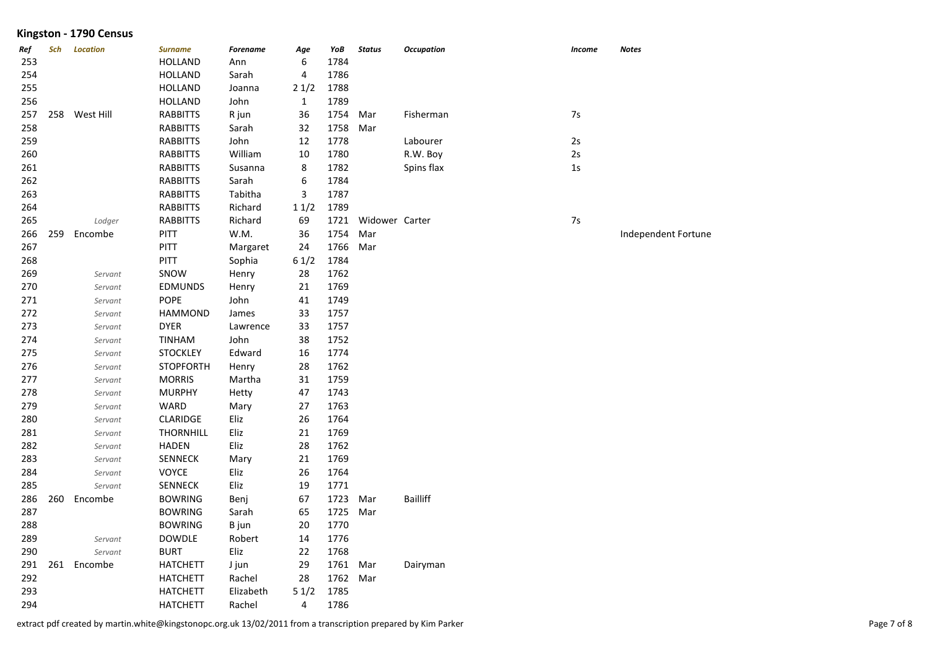| Ref | Sch | <b>Location</b> | <b>Surname</b>   | <b>Forename</b> | Age            | YoB      | <b>Status</b>       | <b>Occupation</b> | <b>Income</b> | Notes               |
|-----|-----|-----------------|------------------|-----------------|----------------|----------|---------------------|-------------------|---------------|---------------------|
| 253 |     |                 | <b>HOLLAND</b>   | Ann             | 6              | 1784     |                     |                   |               |                     |
| 254 |     |                 | <b>HOLLAND</b>   | Sarah           | 4              | 1786     |                     |                   |               |                     |
| 255 |     |                 | <b>HOLLAND</b>   | Joanna          | 21/2           | 1788     |                     |                   |               |                     |
| 256 |     |                 | <b>HOLLAND</b>   | John            | $\mathbf{1}$   | 1789     |                     |                   |               |                     |
| 257 |     | 258 West Hill   | <b>RABBITTS</b>  | R jun           | 36             | 1754     | Mar                 | Fisherman         | $7s$          |                     |
| 258 |     |                 | <b>RABBITTS</b>  | Sarah           | 32             | 1758     | Mar                 |                   |               |                     |
| 259 |     |                 | <b>RABBITTS</b>  | John            | 12             | 1778     |                     | Labourer          | 2s            |                     |
| 260 |     |                 | <b>RABBITTS</b>  | William         | 10             | 1780     |                     | R.W. Boy          | 2s            |                     |
| 261 |     |                 | <b>RABBITTS</b>  | Susanna         | 8              | 1782     |                     | Spins flax        | $1s$          |                     |
| 262 |     |                 | <b>RABBITTS</b>  | Sarah           | 6              | 1784     |                     |                   |               |                     |
| 263 |     |                 | <b>RABBITTS</b>  | Tabitha         | $\mathbf{3}$   | 1787     |                     |                   |               |                     |
| 264 |     |                 | <b>RABBITTS</b>  | Richard         | 11/2           | 1789     |                     |                   |               |                     |
| 265 |     | Lodger          | <b>RABBITTS</b>  | Richard         | 69             |          | 1721 Widower Carter |                   | 7s            |                     |
| 266 | 259 | Encombe         | PITT             | W.M.            | 36             | 1754     | Mar                 |                   |               | Independent Fortune |
| 267 |     |                 | PITT             | Margaret        | 24             | 1766     | Mar                 |                   |               |                     |
| 268 |     |                 | <b>PITT</b>      | Sophia          | 61/2           | 1784     |                     |                   |               |                     |
| 269 |     | Servant         | SNOW             | Henry           | 28             | 1762     |                     |                   |               |                     |
| 270 |     | Servant         | <b>EDMUNDS</b>   | Henry           | 21             | 1769     |                     |                   |               |                     |
| 271 |     | Servant         | POPE             | John            | 41             | 1749     |                     |                   |               |                     |
| 272 |     | Servant         | <b>HAMMOND</b>   | James           | 33             | 1757     |                     |                   |               |                     |
| 273 |     | Servant         | <b>DYER</b>      | Lawrence        | 33             | 1757     |                     |                   |               |                     |
| 274 |     | Servant         | <b>TINHAM</b>    | John            | 38             | 1752     |                     |                   |               |                     |
| 275 |     | Servant         | <b>STOCKLEY</b>  | Edward          | 16             | 1774     |                     |                   |               |                     |
| 276 |     | Servant         | <b>STOPFORTH</b> | Henry           | 28             | 1762     |                     |                   |               |                     |
| 277 |     | Servant         | <b>MORRIS</b>    | Martha          | 31             | 1759     |                     |                   |               |                     |
| 278 |     | Servant         | <b>MURPHY</b>    | Hetty           | 47             | 1743     |                     |                   |               |                     |
| 279 |     | Servant         | WARD             | Mary            | 27             | 1763     |                     |                   |               |                     |
| 280 |     | Servant         | <b>CLARIDGE</b>  | Eliz            | 26             | 1764     |                     |                   |               |                     |
| 281 |     | Servant         | <b>THORNHILL</b> | Eliz            | 21             | 1769     |                     |                   |               |                     |
| 282 |     | Servant         | <b>HADEN</b>     | Eliz            | 28             | 1762     |                     |                   |               |                     |
| 283 |     | Servant         | <b>SENNECK</b>   | Mary            | 21             | 1769     |                     |                   |               |                     |
| 284 |     | Servant         | VOYCE            | Eliz            | 26             | 1764     |                     |                   |               |                     |
| 285 |     | Servant         | <b>SENNECK</b>   | Eliz            | 19             | 1771     |                     |                   |               |                     |
| 286 | 260 | Encombe         | <b>BOWRING</b>   | Benj            | 67             | 1723     | Mar                 | <b>Bailliff</b>   |               |                     |
| 287 |     |                 | <b>BOWRING</b>   | Sarah           | 65             | 1725     | Mar                 |                   |               |                     |
| 288 |     |                 | <b>BOWRING</b>   | B jun           | 20             | 1770     |                     |                   |               |                     |
| 289 |     | Servant         | <b>DOWDLE</b>    | Robert          | 14             | 1776     |                     |                   |               |                     |
| 290 |     | Servant         | <b>BURT</b>      | Eliz            | 22             | 1768     |                     |                   |               |                     |
| 291 | 261 | Encombe         | <b>HATCHETT</b>  | J jun           | 29             | 1761 Mar |                     | Dairyman          |               |                     |
| 292 |     |                 | <b>HATCHETT</b>  | Rachel          | 28             | 1762     | Mar                 |                   |               |                     |
| 293 |     |                 | <b>HATCHETT</b>  | Elizabeth       | 51/2           | 1785     |                     |                   |               |                     |
| 294 |     |                 | <b>HATCHETT</b>  | Rachel          | $\overline{4}$ | 1786     |                     |                   |               |                     |

extract pdf created by martin.white@kingstonopc.org.uk 13/02/2011 from a transcription prepared by Kim Parker Page 7 of 8